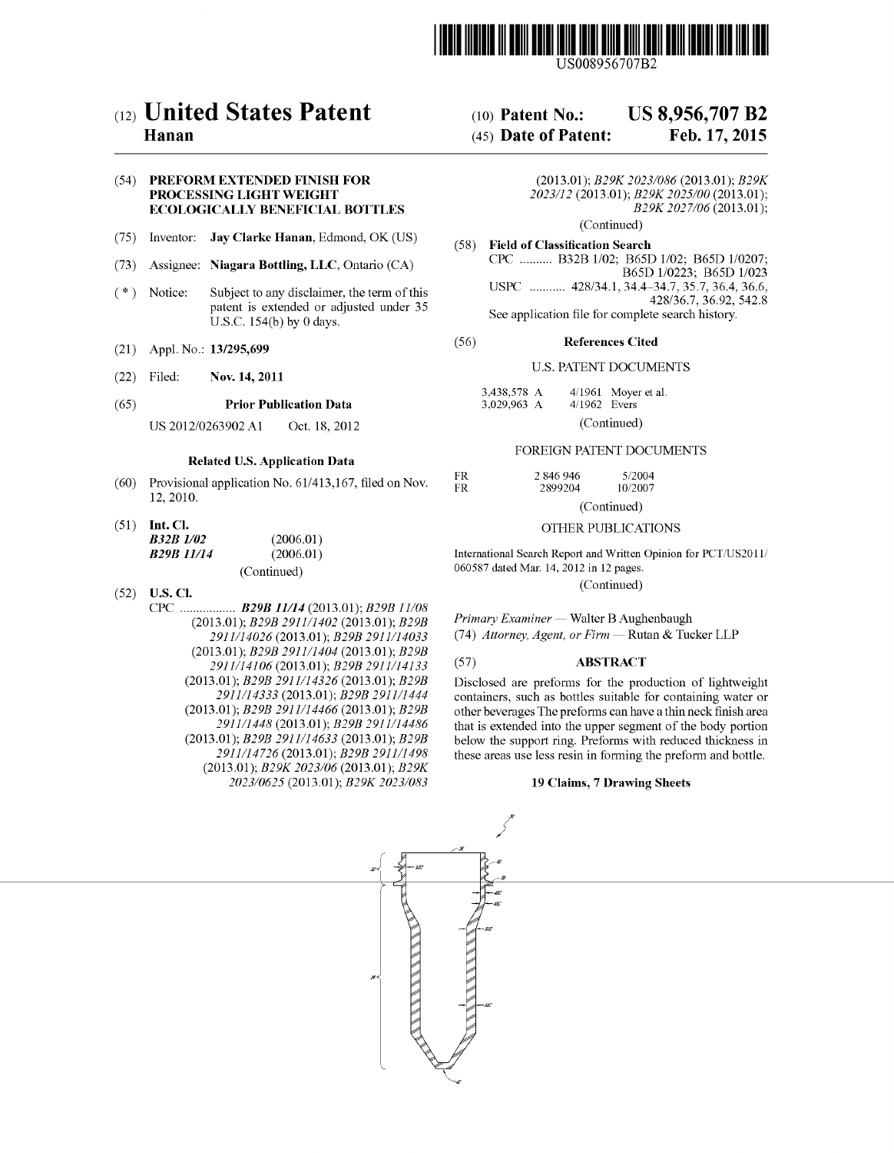

US008956707B2

# (12) United States Patent

## Hanan

### (54) PREFORM EXTENDED FINISH FOR PROCESSING LIGHT WEIGHT ECOLOGICALLY BENEFICIAL BOTTLES

- (75) Inventor: Jay Clarke Hanan, Edmond, OK (US)
- (73) Assignee: Niagara Bottling, LLC, Ontario (CA)
- (\*) Notice: Subject to any disclaimer, the term of this patent is extended or adjusted under 35 U.S.C. 154(b) by 0 days.
- (21) App1.No.: 13/295,699
- (22) Filed: Nov. 14, 2011
- (65) Prior Publication Data

US 2012/0263902 A1 Oct. 18, 2012

### Related US. Application Data

- $(60)$  Provisional application No.  $61/413,167$ , filed on Nov. 12, 2010.
- $(51)$  Int. Cl. **B32B**

| <i>B32B 1/02</i>  | (2006.01)   |
|-------------------|-------------|
| <b>B29B</b> 11/14 | (2006.01)   |
|                   | (Continued) |

- $(52)$  **U.S. Cl.** 
	- CPC ............... .. B29B 11/14 (2013.01); B29B 11/08 (2013.01); *B29B 2911/1402* (2013.01); *B29B* 2911/14026 (2013.01); 329B 2911/14033 (2013.01);  $B29B2911/1404$  (2013.01);  $B29B$ 2911/14106 (2013.01); 329B 2911/14133 (2013.01); B29B 2911/14326 (2013.01); B29B 2911/14333 (2013.01); 329B 2911/1444 (2013.01); 329B 2911/14466 (2013.01); 329B 2911/1448 (2013.01); 329B 2911/14486 (2013.01); *B29B 2911/14633* (2013.01); *B29B* 2911/14726 (2013.01); 329B 2911/1498 (2013.01); B29K 2023/06 (2013.01); B29K 2023/0625 (2013.01); B29K 2023/083

#### US 8,956,707 B2 (10) Patent N0.:

#### Feb. 17, 2015 (45) Date of Patent:

(2013.01); 329K 2023/086 (2013.01); 329K 2023/12 (2013.01); B29K 2025/00 (2013.01); B29K 2027/06 (2013.01);

(Continued)

(58) Field of Classification Search CPC ........ .. B32B 1/02; B65D1/02; B65D 1/0207; B65D 1/0223; B65D 1/023 USPC ........... 428/34.1, 34.4-34.7, 35.7, 36.4, 36.6, 428/367, 36.92, 542.8 See application file for complete search history.

#### (56) References Cited

### U.S. PATENT DOCUMENTS

| 3,438,578 A<br>3,029,963 A | $4/1962$ Evers | $4/1961$ Moyer et al. |
|----------------------------|----------------|-----------------------|
|                            | (0.11)         |                       |

(Continued)

### FOREIGN PATENT DOCUMENTS

| FR  | 2.846.946   | 5/2004  |  |
|-----|-------------|---------|--|
| FR. | 2899204     | 10/2007 |  |
|     | (Continued) |         |  |

### OTHER PUBLICATIONS

International Search Report and Written Opinion for PCT/US2011/ 060587 dated Mar. 14, 2012 in 12 pages.

(Continued)

Primary Examiner - Walter B Aughenbaugh (74) Attorney, Agent, or Firm - Rutan & Tucker LLP

### (57) ABSTRACT

Disclosed are preforms for the production of lightweight containers, such as bottles suitable for containing water or other beverages The preforms can have a thin neck finish area that is extended into the upper segment of the body portion below the support ring. Preforms with reduced thickness in these areas use less resin in forming the preform and bottle.

### 19 Claims, 7 Drawing Sheets

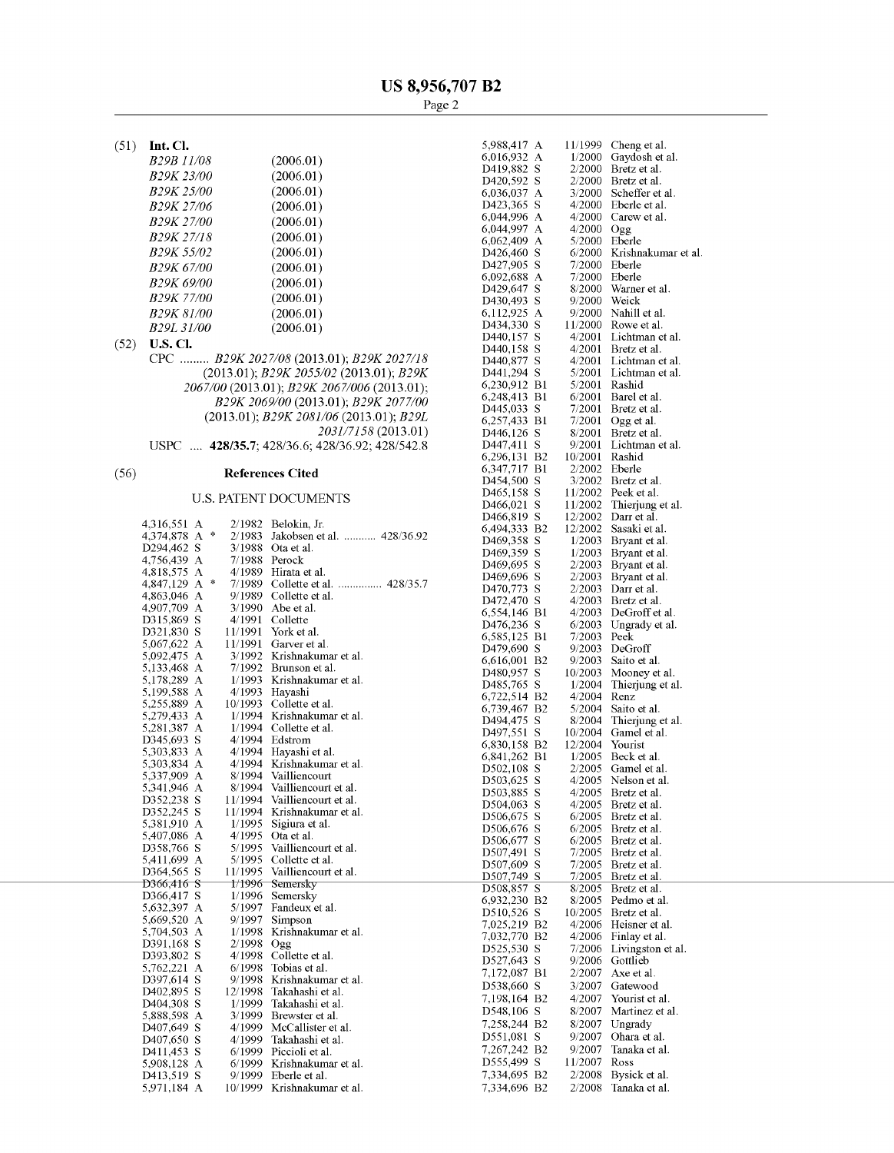$(51)$  Int. Cl.

| <b>B29B 11/08</b>       | (2006.01) |
|-------------------------|-----------|
| B <sub>29</sub> K 23/00 | (2006.01) |
| B <sub>29</sub> K 25/00 | (2006.01) |
| B29K 27/06              | (2006.01) |
| B <sub>29</sub> K 27/00 | (2006.01) |
| B <sub>29</sub> K 27/18 | (2006.01) |
| B <sub>29</sub> K 55/02 | (2006.01) |
| B <sub>29</sub> K 67/00 | (2006.01) |
| B29K 69/00              | (2006.01) |
| <i>B29K 77/00</i>       | (2006.01) |
| <b>B29K 81/00</b>       | (2006.01) |
| B <sub>29L</sub> 31/00  | (2006.01) |
|                         |           |

 $(52)$  **U.S. Cl.** 

CPC ......... B29K 2027/08 (2013.01); B29K 2027/18 (2013.01); B29K 2055/02 (2013.01); B29K 2067/00 (2013.01); B29K 2067/006 (2013.01); B29K 2069/00 (2013.01); B29K 2077/00 (2013.01); B29K 2081/06 (2013.01); B29L 2031/7158 (2013.01) USPC .... 428/35.7; 428/36.6; 428/36.92; 428/542.8

#### **References Cited**  $(56)$

## **U.S. PATENT DOCUMENTS**

|                               |               |         |                            | $\Gamma$       |
|-------------------------------|---------------|---------|----------------------------|----------------|
| 4,316,551 A                   |               | 2/1982  | Belokin, Jr.               | 6              |
| 4,374,878<br>A                | $\frac{1}{2}$ | 2/1983  | Jakobsen et al.  428/36.92 | $\Gamma$       |
| D294,462 S                    |               | 3/1988  | Ota et al.                 | Г              |
| 4,756,439 A                   |               | 7/1988  | Perock                     | E              |
| 4,818,575<br>A                |               | 4/1989  | Hirata et al.              | $\Gamma$       |
| 4,847,129<br>А                | $\frac{1}{2}$ | 7/1989  |                            | $\Gamma$       |
| 4,863,046<br>A                |               | 9/1989  | Collette et al.            | $\Gamma$       |
| 4,907,709 A                   |               | 3/1990  | Abe et al.                 | 6              |
| D315,869 S                    |               | 4/1991  | Collette                   | D              |
| D321,830 S                    |               | 11/1991 | York et al.                | 6              |
| 5,067,622 A                   |               | 11/1991 | Garver et al.              | $\Gamma$       |
| 5,092,475<br>A                |               | 3/1992  | Krishnakumar et al.        | 6              |
| 5,133,468 A                   |               | 7/1992  | Brunson et al.             | $\Gamma$       |
| 5,178,289 A                   |               | 1/1993  | Krishnakumar et al.        | $\Gamma$       |
| 5,199,588 A                   |               | 4/1993  | Hayashi                    | 6              |
| 5,255,889 A                   |               | 10/1993 | Collette et al.            | 6              |
| 5,279,433<br>A                |               | 1/1994  | Krishnakumar et al.        | $\Gamma$       |
| 5,281,387<br>А                |               | 1/1994  | Collette et al.            | $\Gamma$       |
| D345,693 S                    |               | 4/1994  | Edstrom                    | 6              |
| 5,303,833<br>A                |               | 4/1994  | Hayashi et al.             | 6              |
| 5,303,834 A                   |               | 4/1994  | Krishnakumar et al.        | Г              |
| 5,337,909<br>A                |               | 8/1994  | Vailliencourt              | $\Gamma$       |
| 5,341,946<br>А                |               | 8/1994  | Vailliencourt et al.       | $\Gamma$       |
| D352,238 S                    |               | 11/1994 | Vailliencourt et al.       | $\Gamma$       |
| D352,245 S                    |               | 11/1994 | Krishnakumar et al.        | D              |
| 5,381,910 A                   |               | 1/1995  | Sigiura et al.             | D              |
| 5,407,086 A                   |               | 4/1995  | Ota et al.                 | E              |
| D358,766 S                    |               | 5/1995  | Vailliencourt et al.       | $\Gamma$       |
| 5,411,699 A                   |               | 5/1995  | Collette et al.            | Ľ              |
| D364,565 S                    |               | 11/1995 | Vailliencourt et al.       | $\Gamma$       |
| D366,416 S                    |               | 1/1996  | Semersky                   | $\Gamma$       |
| D366,417 S                    |               | 1/1996  | Semersky                   | 6              |
| 5,632,397<br>A                |               | 5/1997  | Fandeux et al.             | $\Gamma$       |
| 5,669,520<br>А                |               | 9/1997  | Simpson                    | 7              |
| 5,704,503<br>А                |               | 1/1998  | Krishnakumar et al.        | 7              |
| D391,168 S                    |               | 2/1998  | Ogg                        | $\Gamma$       |
| D393,802 S                    |               | 4/1998  | Collette et al.            | $\Gamma$       |
| 5,762,221<br>A                |               | 6/1998  | Tobias et al.              |                |
| D397,614 S                    |               | 9/1998  | Krishnakumar et al.        | 7              |
| D402,895 S                    |               | 12/1998 | Takahashi et al.           | $\overline{L}$ |
| D404,308 S                    |               | 1/1999  | Takahashi et al.           | 7              |
| 5,888,598<br>$\boldsymbol{A}$ |               | 3/1999  | Brewster et al.            | E              |
| D407,649 S                    |               | 4/1999  | McCallister et al.         | 7              |
| D407,650 S                    |               | 4/1999  | Takahashi et al.           | D              |
| D411,453 S                    |               | 6/1999  | Piccioli et al.            | 7              |
| 5,908,128<br>A                |               | 6/1999  | Krishnakumar et al.        | $\Gamma$       |
| D413,519<br>-S                |               | 9/1999  | Eberle et al.              | 7              |
| 5,971,184<br>A                |               | 10/1999 | Krishnakumar et al.        | 7              |
|                               |               |         |                            |                |

| 5,988.417<br>Α  | 11/1999 | Cheng et al.        |
|-----------------|---------|---------------------|
| 6,016,932<br>A  | 1/2000  | Gaydosh et al.      |
| S<br>D419,882   | 2/2000  | Bretz et al.        |
| D420,592<br>S   | 2/2000  | Bretz et al.        |
| 6,036,037<br>A  | 3/2000  | Scheffer et al.     |
| S<br>D423,365   | 4/2000  | Eberle et al.       |
| 6,044,996<br>A  | 4/2000  | Carew et al.        |
| A<br>6,044,997  | 4/2000  |                     |
| A               | 5/2000  | Ogg                 |
| 6,062,409       |         | Eberle              |
| S<br>D426,460   | 6/2000  | Krishnakumar et al. |
| D427,905<br>S   | 7/2000  | Eberle              |
| 6,092,688<br>A  | 7/2000  | Eberle              |
| D429,647<br>S   | 8/2000  | Warner et al.       |
| S<br>D430,493   | 9/2000  | Weick               |
| 6,112,925<br>A  | 9/2000  | Nahill et al.       |
| S<br>D434,330   | 11/2000 | Rowe et al.         |
| S<br>D440,157   | 4/2001  | Lichtman et al.     |
| D440,158<br>S   | 4/2001  | Bretz et al.        |
| S<br>D440,877   | 4/2001  | Lichtman et al.     |
| S<br>D441,294   | 5/2001  | Lichtman et al.     |
| 6,230,912<br>B1 | 5/2001  | Rashid              |
| 6,248,413<br>B1 | 6/2001  | Barel et al.        |
| D445,033<br>S   | 7/2001  | Bretz et al.        |
| B1<br>6,257,433 | 7/2001  | Ogg et al.          |
| S<br>D446,126   | 8/2001  | Bretz et al.        |
| S<br>D447,411   | 9/2001  | Lichtman et al.     |
| B2              | 10/2001 | Rashid              |
| 6,296,131       |         |                     |
| 6,347,717<br>B1 | 2/2002  | Eberle              |
| D454,500<br>S   | 3/2002  | Bretz et al.        |
| D465,158<br>S   | 11/2002 | Peek et al.         |
| D466,021<br>S   | 11/2002 | Thierjung et al.    |
| S<br>D466,819   | 12/2002 | Darr et al.         |
| 6,494,333<br>Β2 | 12/2002 | Sasaki et al.       |
| D469,358<br>S   | 1/2003  | Bryant et al.       |
| D469,359<br>S   | 1/2003  | Bryant et al.       |
| S<br>D469,695   | 2/2003  | Bryant et al.       |
| D469,696<br>S   | 2/2003  | Bryant et al.       |
| S<br>D470,773   | 2/2003  | Darr et al.         |
| D472,470<br>S   | 4/2003  | Bretz et al.        |
| 6,554,146<br>B1 | 4/2003  | DeGroff et al.      |
| D476,236<br>S   | 6/2003  | Ungrady et al.      |
| 6,585,125<br>Bl | 7/2003  | Peek                |
| D479,690<br>S   | 9/2003  | DeGroff             |
| B2<br>6,616,001 | 9/2003  | Saito et al.        |
| D480,957<br>S   | 10/2003 | Mooney et al.       |
| S<br>D485,765   | 1/2004  | Thierjung et al.    |
| Β2              | 4/2004  |                     |
| 6,722,514       |         | Renz                |
| B2<br>6,739,467 | 5/2004  | Saito et al.        |
| D494,475<br>S   | 8/2004  | Thierjung et al.    |
| D497,551<br>S   | 10/2004 | Gamel et al.        |
| 6,830,158<br>B2 | 12/2004 | Yourist             |
| B1<br>6,841,262 | 1/2005  | Beck et al.         |
| S<br>D502,108   | 2/2005  | Gamel et al.        |
| S<br>D503,625   | 4/2005  | Nelson et al.       |
| D503,885<br>S   | 4/2005  | Bretz et al.        |
| D504,063<br>S   | 4/2005  | Bretz et al.        |
| S<br>D506,675   | 6/2005  | Bretz et al.        |
| S<br>D506,676   | 6/2005  | Bretz et al.        |
| S<br>D506,677   | 6/2005  | Bretz et al.        |
| S<br>D507,491   | 7/2005  | Bretz et al.        |
| S<br>D507,609   | 7/2005  | Bretz et al.        |
| S<br>D507,749   | 7/2005  | Bretz et al.        |
| S<br>D508,857   | 8/2005  | Bretz et al.        |
| 6,932,230<br>Β2 | 8/2005  | Pedmo et al.        |
| S<br>D510,526   | 10/2005 | Bretz et al.        |
| 7,025,219<br>B2 | 4/2006  | Heisner et al.      |
|                 |         |                     |
| 7,032,770<br>Β2 | 4/2006  | Finlay et al.       |
| D525,530<br>S   | 7/2006  | Livingston et al.   |
| S<br>D527,643   | 9/2006  | Gottlieb            |
| 7,172,087<br>B1 | 2/2007  | Axe et al.          |
| D538,660<br>S   | 3/2007  | Gatewood            |
| 7,198,164<br>B2 | 4/2007  | Yourist et al.      |
| D548,106<br>S   | 8/2007  | Martinez et al.     |
| 7,258,244<br>B2 | 8/2007  | Ungrady             |
| S<br>D551,081   | 9/2007  | Ohara et al.        |
| 7,267,242<br>B2 |         | Tanaka et al.       |
|                 | 9/2007  |                     |
| D555,499<br>S   | 11/2007 | Ross                |
| 7,334,695<br>B2 | 2/2008  | Bysick et al.       |
| 7,334,696<br>B2 | 2/2008  | Tanaka et al.       |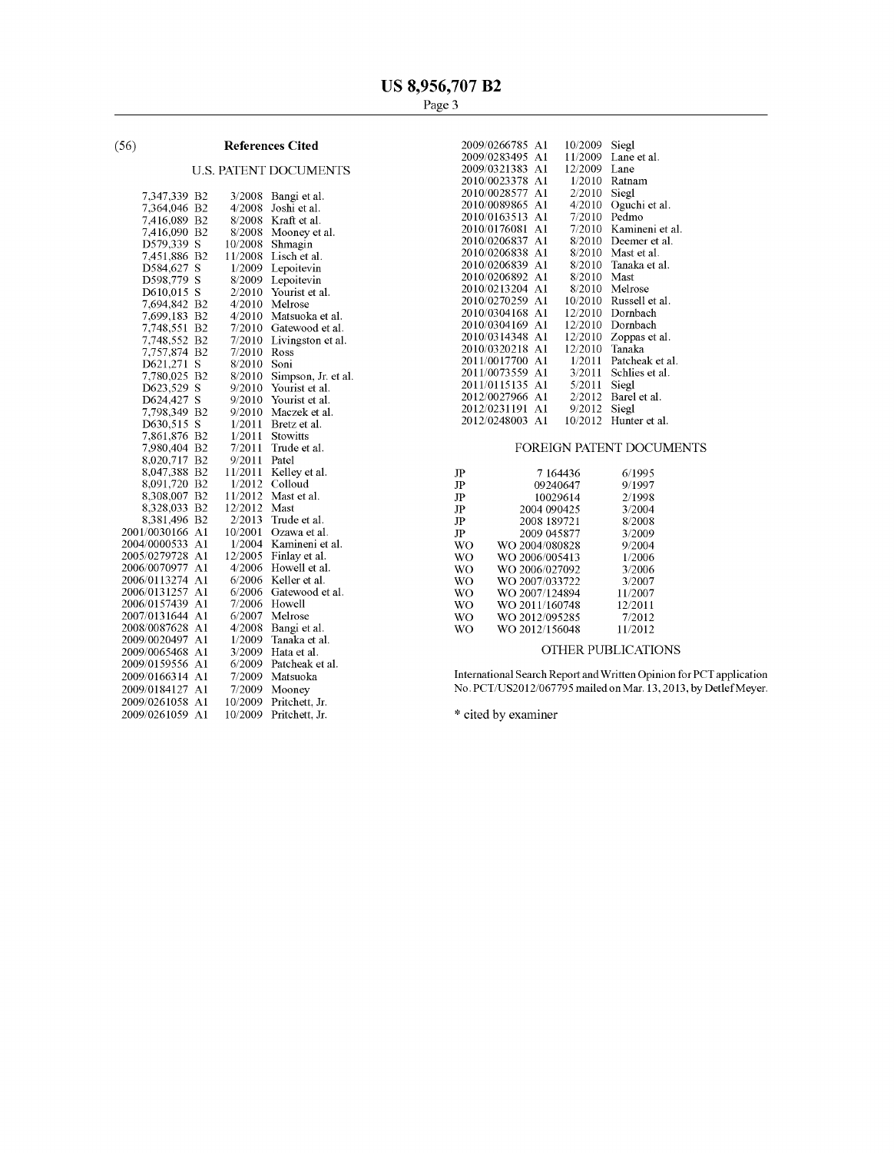#### **References Cited**  $(56)$

## **U.S. PATENT DOCUMENTS**

| 7,347,339    | B <sub>2</sub> | 3/2008  | Bangi et al.        |
|--------------|----------------|---------|---------------------|
| 7,364,046    | B2             | 4/2008  | Joshi et al.        |
| 7,416,089    | B <sub>2</sub> | 8/2008  | Kraft et al.        |
| 7.416,090    | B <sub>2</sub> | 8/2008  | Mooney et al.       |
| D579,339     | S              | 10/2008 | Shmagin             |
| 7,451,886    | B <sub>2</sub> | 11/2008 | Lisch et al.        |
| D584,627     | S              | 1/2009  | Lepoitevin          |
| D598,779     | Ś              | 8/2009  | Lepoitevin          |
| D610,015     | S              | 2/2010  | Yourist et al.      |
| 7,694,842    | B2             | 4/2010  | Melrose             |
| 7,699,183    | B <sub>2</sub> | 4/2010  | Matsuoka et al.     |
| 7,748,551    | B <sub>2</sub> | 7/2010  | Gatewood et al.     |
| 7,748,552    | B <sub>2</sub> | 7/2010  | Livingston et al.   |
| 7,757,874    | B <sub>2</sub> | 7/2010  | Ross                |
| D621,271     | S              | 8/2010  | Soni                |
| 7,780,025    | B2             | 8/2010  | Simpson, Jr. et al. |
| D623,529     | S              | 9/2010  | Yourist et al.      |
| D624,427     | S              | 9/2010  | Yourist et al.      |
| 7,798,349    | B2             | 9/2010  | Maczek et al.       |
| D630,515     | S              | 1/2011  | Bretz et al.        |
| 7,861,876    | B <sub>2</sub> | 1/2011  | Stowitts            |
| 7,980,404    | B2             | 7/2011  | Trude et al.        |
| 8,020,717    | B <sub>2</sub> | 9/2011  | Patel               |
| 8,047,388    | B <sub>2</sub> | 11/2011 | Kelley et al.       |
| 8,091,720    | B <sub>2</sub> | 1/2012  | Colloud             |
| 8,308,007    | B <sub>2</sub> | 11/2012 | Mast et al.         |
| 8,328,033    | B <sub>2</sub> | 12/2012 | Mast                |
| 8,381,496    | B <sub>2</sub> | 2/2013  | Trude et al.        |
| 2001/0030166 | A <sub>1</sub> | 10/2001 | Ozawa et al.        |
| 2004/0000533 | A1             | 1/2004  | Kamineni et al.     |
| 2005/0279728 | A1             | 12/2005 | Finlay et al.       |
| 2006/0070977 | A1             | 4/2006  | Howell et al.       |
| 2006/0113274 | A1             | 6/2006  | Keller et al.       |
| 2006/0131257 | A1             | 6/2006  | Gatewood et al.     |
| 2006/0157439 | A1             | 7/2006  | Howell              |
| 2007/0131644 | A1             | 6/2007  | Melrose             |
| 2008/0087628 | A1             | 4/2008  | Bangi et al.        |
| 2009/0020497 | A <sub>1</sub> | 1/2009  | Tanaka et al.       |
| 2009/0065468 | A1             | 3/2009  | Hata et al.         |
| 2009/0159556 | A1             | 6/2009  | Patcheak et al.     |
| 2009/0166314 | A <sub>1</sub> | 7/2009  | Matsuoka            |
| 2009/0184127 | A1             | 7/2009  | Mooney              |
| 2009/0261058 | A1             | 10/2009 | Pritchett, Jr.      |
| 2009/0261059 | A1             | 10/2009 | Pritchett. Jr.      |
|              |                |         |                     |

| 2009/0266785    | A1  | 10/2009 | Siegl           |
|-----------------|-----|---------|-----------------|
| 2009/0283495    | A1  | 11/2009 | Lane et al.     |
| 2009/0321383 A1 |     | 12/2009 | Lane            |
| 2010/0023378    | A1  | 1/2010  | Ratnam          |
| 2010/0028577    | A1. | 2/2010  | Siegl           |
| 2010/0089865 A1 |     | 4/2010  | Oguchi et al.   |
| 2010/0163513    | A1  | 7/2010  | Pedmo           |
| 2010/0176081 A1 |     | 7/2010  | Kamineni et al. |
| 2010/0206837    | A1  | 8/2010  | Deemer et al.   |
| 2010/0206838    | Al  | 8/2010  | Mast et al.     |
| 2010/0206839    | A1  | 8/2010  | Tanaka et al.   |
| 2010/0206892 A1 |     | 8/2010  | Mast            |
| 2010/0213204 A1 |     | 8/2010  | Melrose         |
| 2010/0270259 A1 |     | 10/2010 | Russell et al.  |
| 2010/0304168 A1 |     | 12/2010 | Dornbach        |
| 2010/0304169    | Al  | 12/2010 | Dornbach        |
| 2010/0314348    | A1  | 12/2010 | Zoppas et al.   |
| 2010/0320218    | A1  | 12/2010 | Tanaka          |
| 2011/0017700    | A1  | 1/2011  | Patcheak et al. |
| 2011/0073559    | Al  | 3/2011  | Schlies et al.  |
| 2011/0115135    | A1  | 5/2011  | Siegl           |
| 2012/0027966 A1 |     | 2/2012  | Barel et al.    |
| 2012/0231191    | A1  | 9/2012  | Siegl           |
| 2012/0248003 A1 |     | 10/2012 | Hunter et al.   |
|                 |     |         |                 |

## FOREIGN PATENT DOCUMENTS

| JP | 7 164436       | 6/1995  |
|----|----------------|---------|
|    |                |         |
| JP | 09240647       | 9/1997  |
| JP | 10029614       | 2/1998  |
| JP | 2004 090425    | 3/2004  |
| JP | 2008 189721    | 8/2008  |
| JP | 2009 045877    | 3/2009  |
| WΟ | WO 2004/080828 | 9/2004  |
| WΟ | WO 2006/005413 | 1/2006  |
| WΟ | WO 2006/027092 | 3/2006  |
| WΟ | WO 2007/033722 | 3/2007  |
| WΟ | WO 2007/124894 | 11/2007 |
| WΟ | WO 2011/160748 | 12/2011 |
| WΟ | WO 2012/095285 | 7/2012  |
| WΟ | WO 2012/156048 | 11/2012 |

## OTHER PUBLICATIONS

International Search Report and Written Opinion for PCT application<br>No. PCT/US2012/067795 mailed on Mar. 13, 2013, by Detlef Meyer.

\* cited by examiner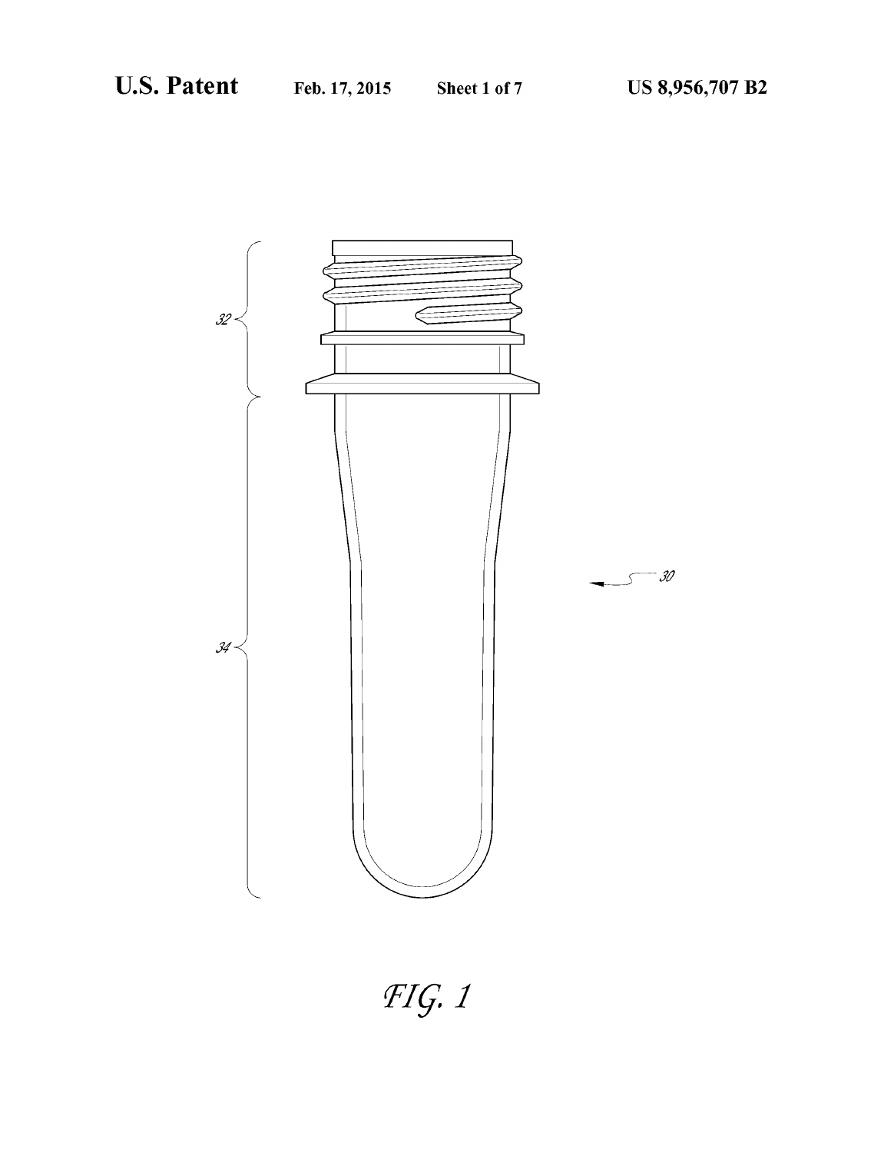

 $FIG.1$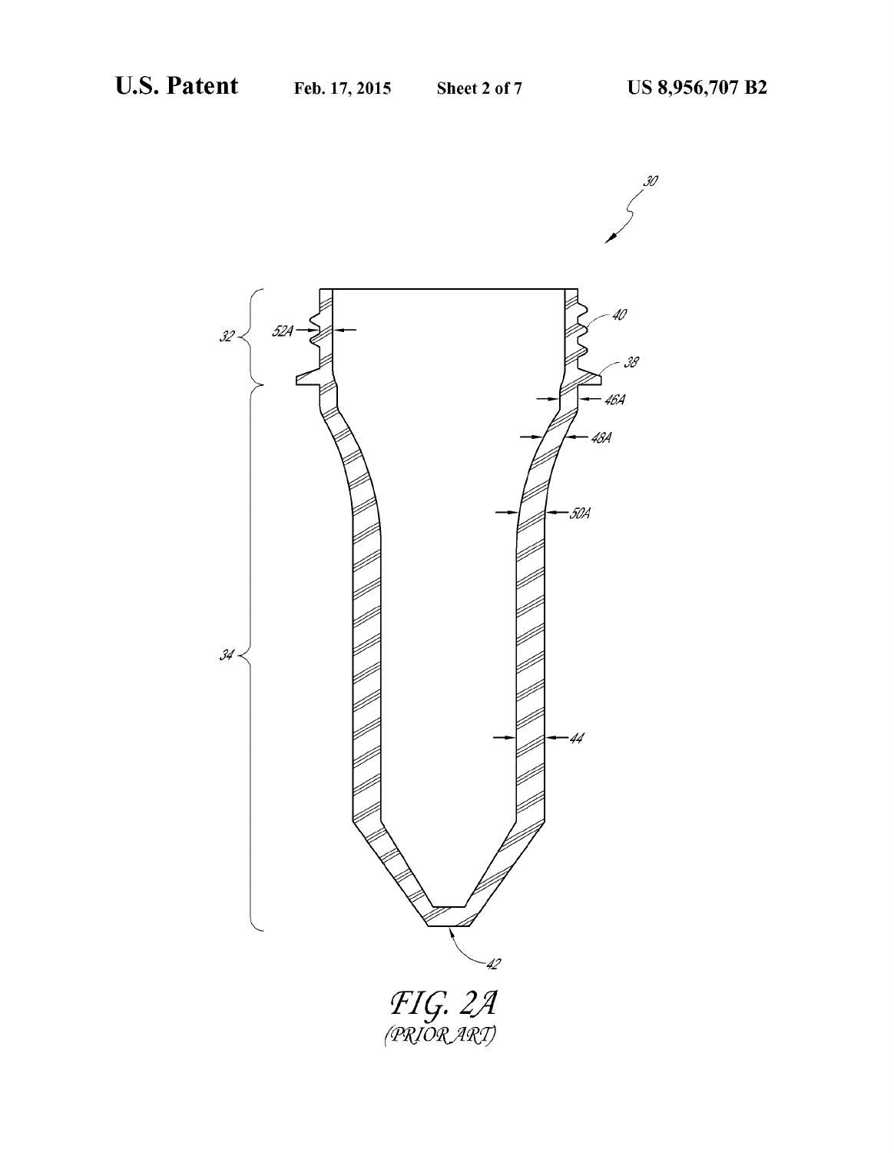30

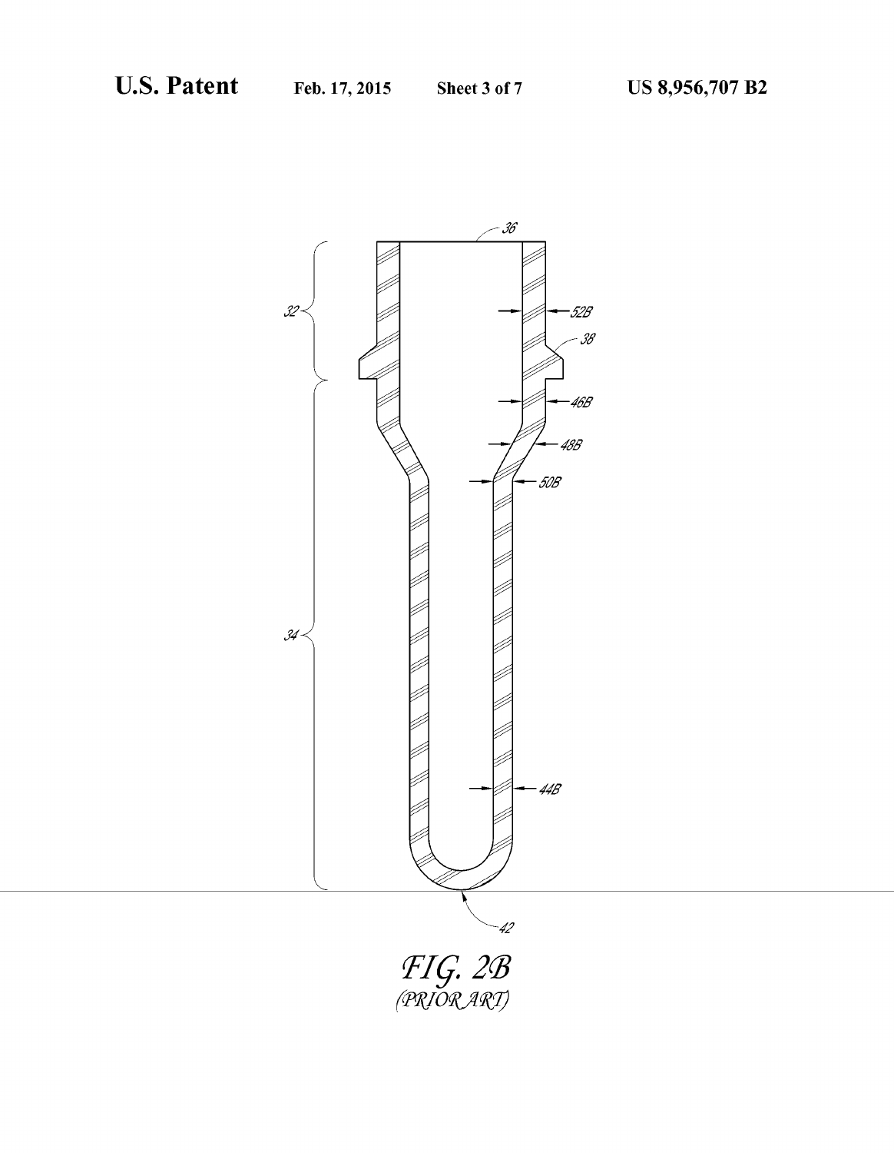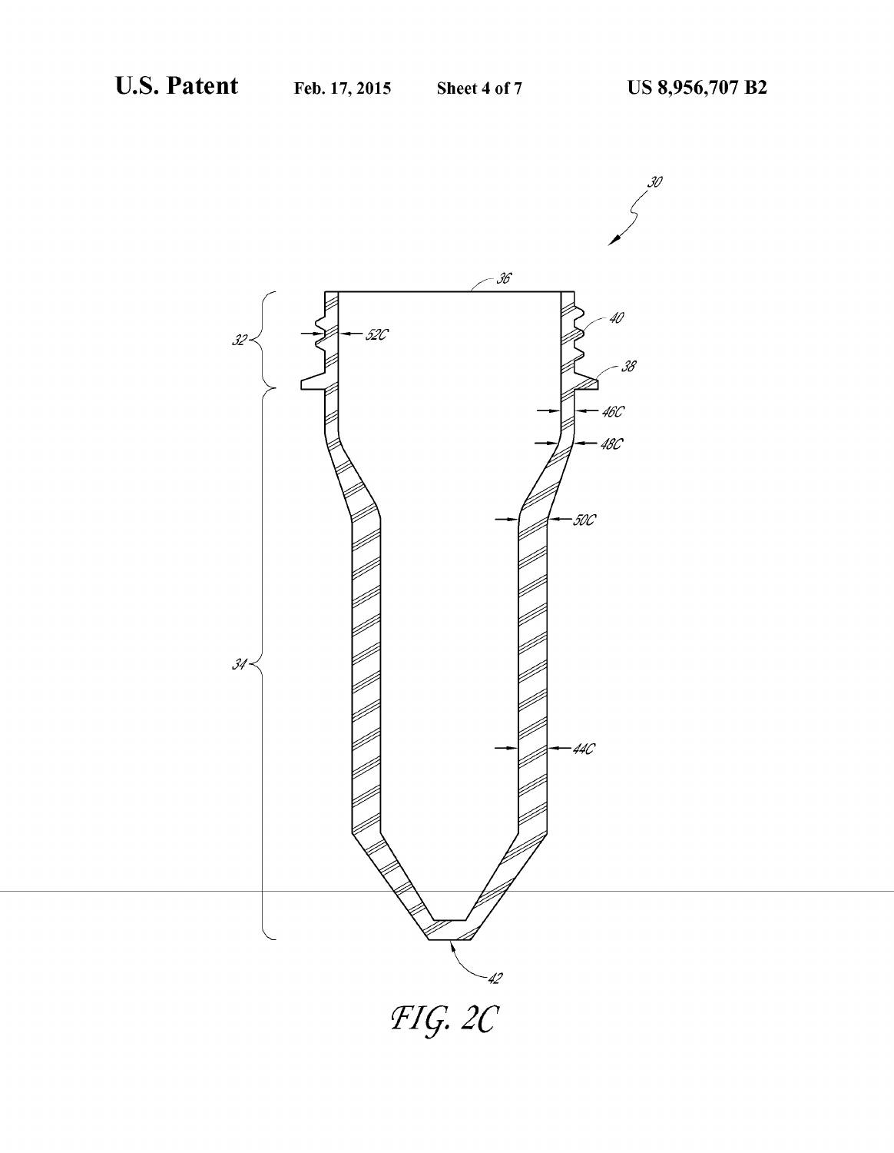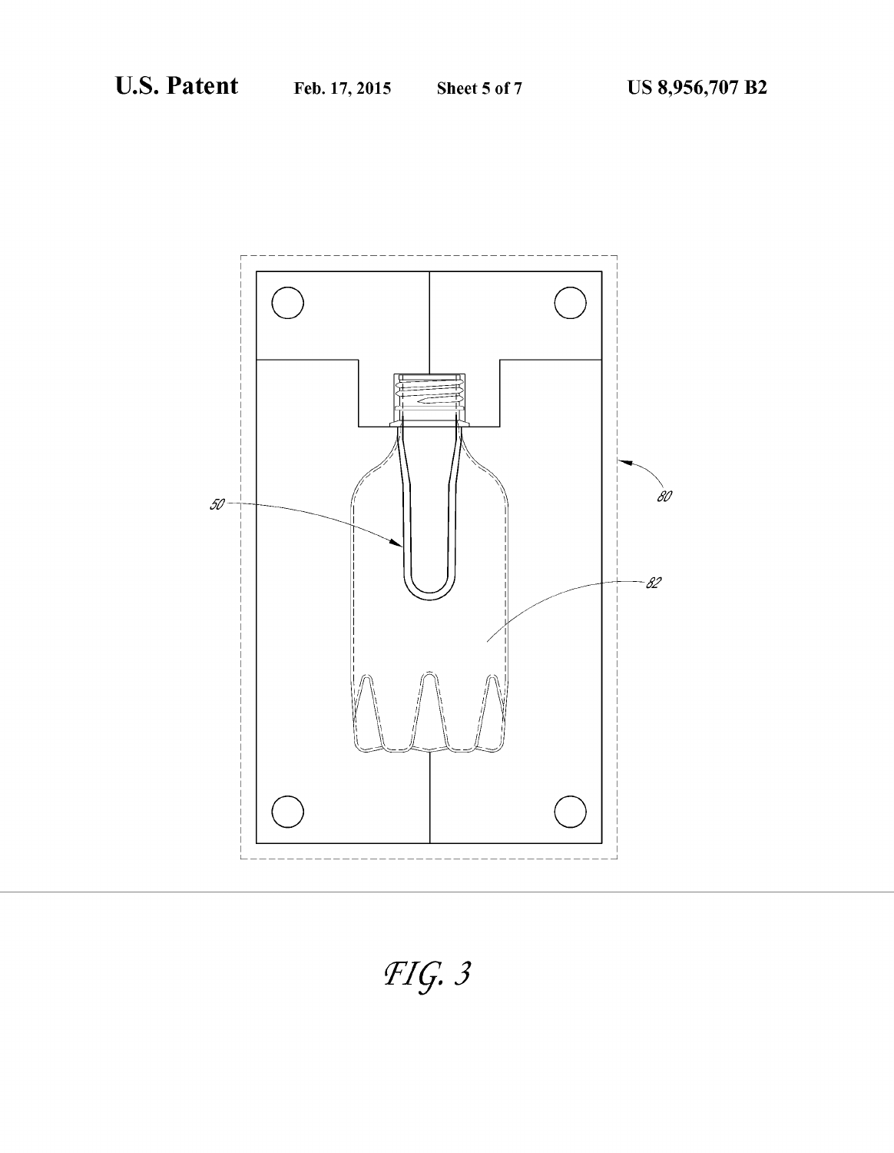

 $FIG.3$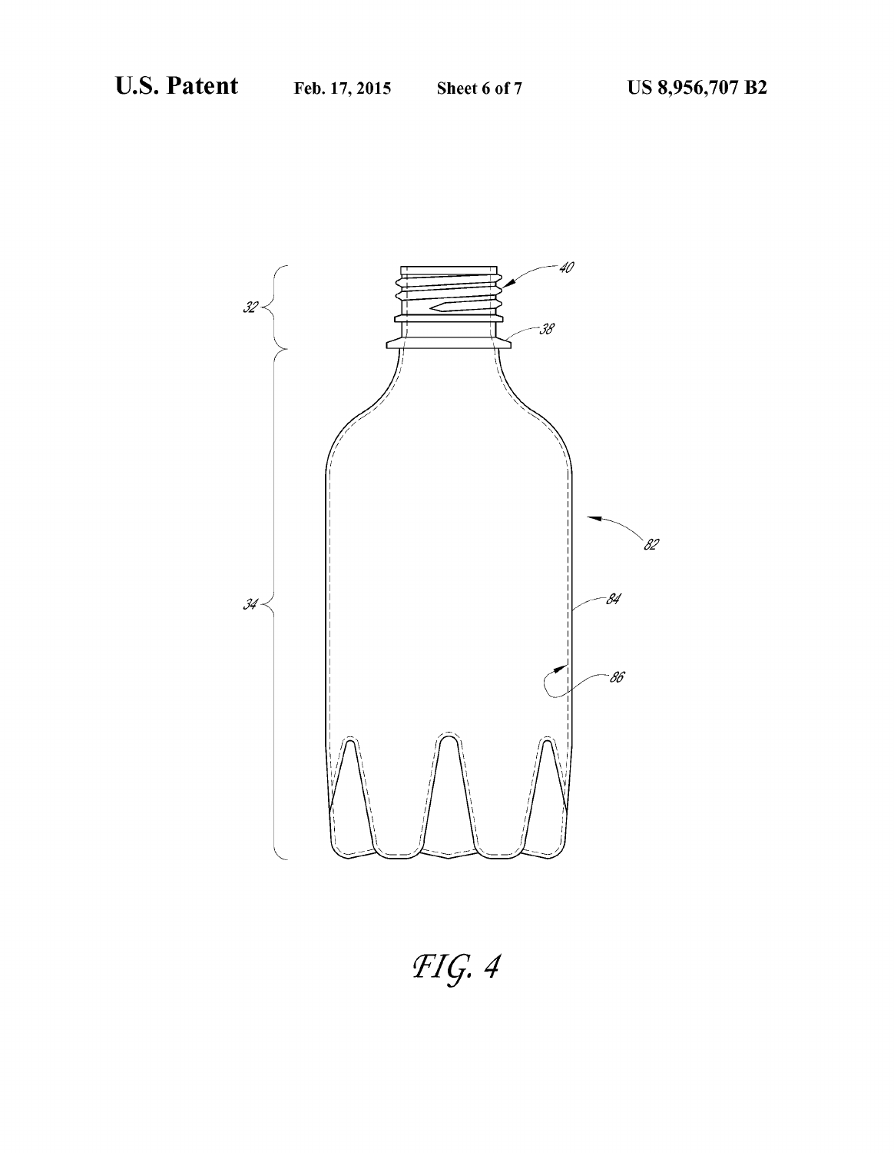

 $FIG.4$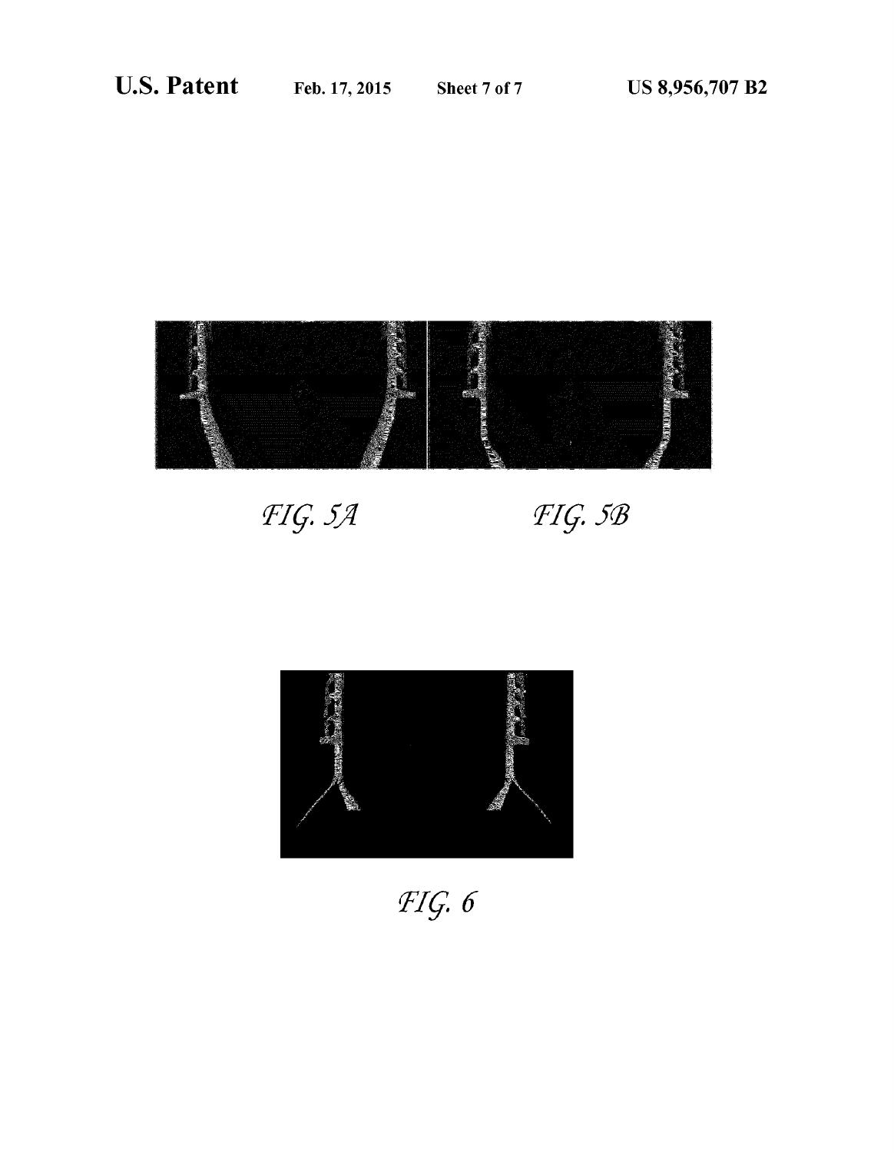

FIG. 5A

FIG. 5B



 $FIG. 6$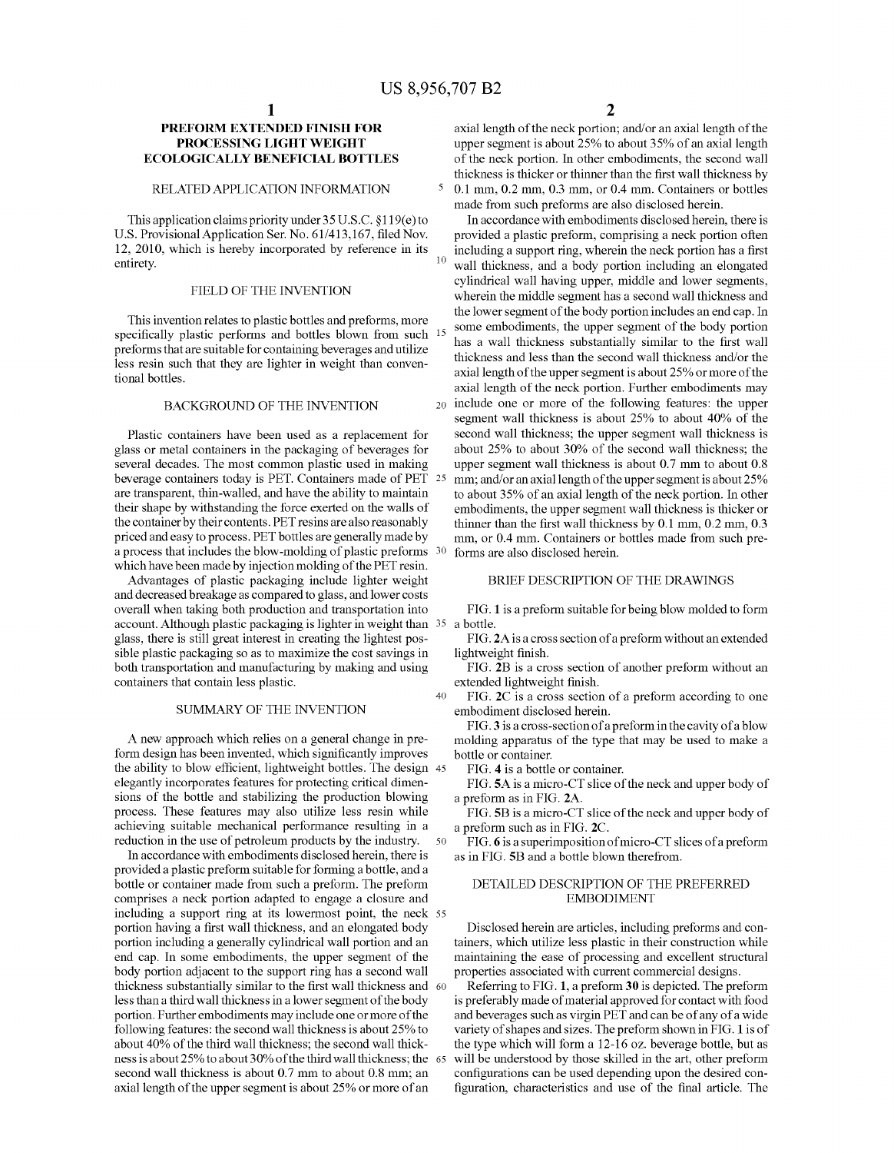$\overline{\mathbf{5}}$ 

20

### PREFORM EXTENDED FINISH FOR PROCESSING LIGHT WEIGHT ECOLOGICALLY BENEFICIAL BOTTLES

### RELATED APPLICATION INFORMATION

This application claims priority under 35 U.S.C. §1 19(e) to U.S. Provisional Application Ser. No. 61/413,167, filed Nov. 12, 2010, which is hereby incorporated by reference in its entirety.

### FIELD OF THE INVENTION

This invention relates to plastic bottles and preforms, more specifically plastic performs and bottles blown from such preforms that are suitable for containing beverages and utilize less resin such that they are lighter in weight than conven tional bottles.

### BACKGROUND OF THE INVENTION

Plastic containers have been used as a replacement for glass or metal containers in the packaging of beverages for several decades. The most common plastic used in making beverage containers today is PET. Containers made of PET 25 are transparent, thin-walled, and have the ability to maintain their shape by withstanding the force exerted on the walls of the container by their contents. PET resins are also reasonably priced and easy to process. PET bottles are generally made by a process that includes the blow-molding of plastic preforms 30 which have been made by injection molding of the PET resin.

Advantages of plastic packaging include lighter weight and decreased breakage as compared to glass, and lower costs overall when taking both production and transportation into account. Although plastic packaging is lighter in weight than 35 a bottle. glass, there is still great interest in creating the lightest pos sible plastic packaging so as to maximize the cost savings in both transportation and manufacturing by making and using containers that contain less plastic.  $40$ 

### SUMMARY OF THE INVENTION

A new approach which relies on a general change in pre form design has been invented, which significantly improves the ability to blow efficient, lightweight bottles. The design 45 elegantly incorporates features for protecting critical dimen sions of the bottle and stabilizing the production blowing process. These features may also utilize less resin while achieving suitable mechanical performance resulting in a reduction in the use of petroleum products by the industry. 50

In accordance with embodiments disclosed herein, there is provided a plastic preform suitable for forming a bottle, and a bottle or container made from such a preform. The preform comprises a neck portion adapted to engage a closure and including a support ring at its lowermost point, the neck 55 portion having a first wall thickness, and an elongated body portion including a generally cylindrical wall portion and an end cap. In some embodiments, the upper segment of the body portion adjacent to the support ring has a second wall thickness substantially similar to the first wall thickness and 60 less than a third wall thickness in a lower segment of the body portion. Further embodiments may include one or more of the following features: the second wall thickness is about 25% to about 40% of the third wall thickness; the second wall thick ness is about 25% to about 30% of the third wall thickness; the 65 second wall thickness is about 0.7 mm to about 0.8 mm; an axial length of the upper segment is about 25% or more of an

2

axial length of the neck portion; and/or an axial length of the upper segment is about 25% to about 35% of an axial length of the neck portion. In other embodiments, the second wall thickness is thicker or thinner than the first wall thickness by 0.1 mm, 0.2 mm, 0.3 mm, or 0.4 mm. Containers or bottles made from such preforms are also disclosed herein.

In accordance with embodiments disclosed herein, there is provided a plastic preform, comprising a neck portion often including a support ring, wherein the neck portion has a first wall thickness, and a body portion including an elongated cylindrical wall having upper, middle and lower segments, wherein the middle segment has a second wall thickness and the lower segment of the body portion includes an end cap. In some embodiments, the upper segment of the body portion has a wall thickness substantially similar to the first wall thickness and less than the second wall thickness and/or the axial length of the upper segment is about 25% or more of the axial length of the neck portion. Further embodiments may include one or more of the following features: the upper segment wall thickness is about 25% to about 40% of the second wall thickness; the upper segment wall thickness is about 25% to about 30% of the second wall thickness; the upper segment wall thickness is about 0.7 mm to about 0.8 mm; and/or an axial length of the upper segment is about 25% to about 35% of an axial length of the neck portion. In other embodiments, the upper segment wall thickness is thicker or thinner than the first wall thickness by  $0.1$  mm,  $0.2$  mm,  $0.3$ mm, or 0.4 mm. Containers or bottles made from such pre forms are also disclosed herein.

### BRIEF DESCRIPTION OF THE DRAWINGS

FIG. 1 is a preform suitable for being blow molded to form

FIG. 2A is a cross section of a preform without an extended lightweight finish.

FIG. 2B is a cross section of another preform without an extended lightweight finish.

FIG. 2C is a cross section of a preform according to one embodiment disclosed herein.

FIG. 3 is a cross-section of a preform in the cavity of a blow molding apparatus of the type that may be used to make a bottle or container.

FIG. 4 is a bottle or container.

FIG. 5A is a micro-CT slice of the neck and upper body of a preform as in FIG. 2A.

FIG. 5B is a micro-CT slice of the neck and upper body of a preform such as in FIG. 2C.

FIG. 6 is a superimposition of micro-CT slices of a preform as in FIG. 5B and a bottle blown therefrom.

### DETAILED DESCRIPTION OF THE PREFERRED EMBODIMENT

Disclosed herein are articles, including preforms and con tainers, which utilize less plastic in their construction while maintaining the ease of processing and excellent structural properties associated with current commercial designs.

Referring to FIG. 1, a preform 30 is depicted. The preform is preferably made of material approved for contact with food and beverages such as virgin PET and can be of any of a wide variety of shapes and sizes. The preform shown in FIG. 1 is of the type which will form a 12-16 oz. beverage bottle, but as will be understood by those skilled in the art, other preform configurations can be used depending upon the desired configuration, characteristics and use of the final article. The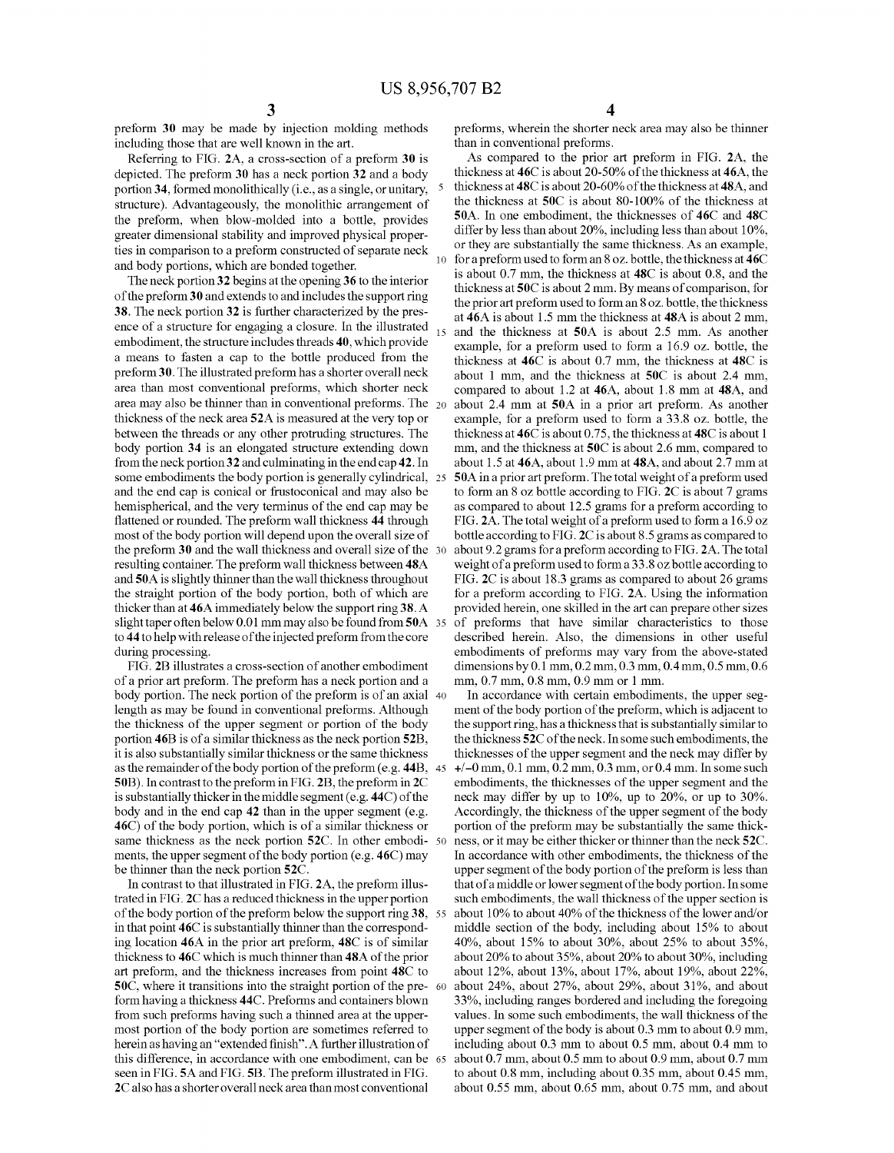preform 30 may be made by injection molding methods including those that are well known in the art.

Referring to FIG. 2A, a cross-section of a preform 30 is depicted. The preform 30 has a neck portion 32 and a body portion 34, formed monolithically (i.e., as a single, or unitary, structure). Advantageously, the monolithic arrangement of the preform, when blow-molded into a bottle, provides greater dimensional stability and improved physical proper ties in comparison to a preform constructed of separate neck and body portions, which are bonded together.

The neck portion 32 begins at the opening 36 to the interior of the preform 3 0 and extends to and includes the support ring 38. The neck portion 32 is further characterized by the pres ence of a structure for engaging a closure. In the illustrated embodiment, the structure includes threads 40, which provide a means to fasten a cap to the bottle produced from the preform 30. The illustrated preform has a shorter overall neck area than most conventional preforms, which shorter neck area may also be thinner than in conventional preforms. The 20 thickness of the neck area 52A is measured at the very top or between the threads or any other protruding structures. The body portion 34 is an elongated structure extending down from the neck portion 32 and culminating in the end cap 42. In some embodiments the body portion is generally cylindrical, 25 and the end cap is conical or frustoconical and may also be hemispherical, and the very terminus of the end cap may be flattened or rounded. The preform wall thickness 44 through most of the body portion will depend upon the overall size of the preform 30 and the wall thickness and overall size of the 30 resulting container. The preform wall thickness between 48A and 50A is slightly thinner than the wall thickness throughout the straight portion of the body portion, both of which are thicker than at 46A immediately below the support ring 38. A slight taper often below 0.01 mm may also be found from 50A 35 to 44 to help with release of the injected preform from the core during processing.

FIG. 2B illustrates a cross-section of another embodiment of a prior art preform. The preform has a neck portion and a body portion. The neck portion of the preform is of an axial 40 length as may be found in conventional preforms. Although the thickness of the upper segment or portion of the body portion 46B is of a similar thickness as the neck portion 52B, it is also substantially similar thickness or the same thickness as the remainder of the body portion of the preform (e. g. 44B, 45 50B). In contrast to the preform in FIG. 2B, the preform in 2C is substantially thicker in the middle segment (e. g. 44C) of the body and in the end cap 42 than in the upper segment (e.g. 46C) of the body portion, which is of a similar thickness or same thickness as the neck portion  $52C$ . In other embodi-  $50$ ments, the upper segment of the body portion (e.g. 46C) may be thinner than the neck portion 52C.

In contrast to that illustrated in FIG. 2A, the preform illus trated in FIG. 2C has a reduced thickness in the upper portion of the body portion of the preform below the support ring 38, 55 in that point 46C is substantially thinner than the correspond ing location 46A in the prior art preform, 48C is of similar thickness to 46C which is much thinner than 48A of the prior art preform, and the thickness increases from point 48C to  $50C$ , where it transitions into the straight portion of the pre-  $60$ form having a thickness 44C. Preforrns and containers blown from such preforrns having such a thinned area at the upper most portion of the body portion are sometimes referred to herein as having an "extended finish". A further illustration of this difference, in accordance with one embodiment, can be 65 seen in FIG. 5A and FIG. 5B. The preform illustrated in FIG. 2C also has a shorter overall neck area than most conventional

preforms, wherein the shorter neck area may also be thinner than in conventional preforms.

As compared to the prior art preform in FIG. 2A, the thickness at 46C is about 20-50% of the thickness at 46A, the thickness at 48C is about 20-60% of the thickness at 48A, and the thickness at 50C is about 80-100% of the thickness at 50A. In one embodiment, the thicknesses of 46C and 48C differ by less than about 20%, including less than about 10%, or they are substantially the same thickness. As an example, for a preform used to form an 8 oz. bottle, the thickness at 46C is about 0.7 mm, the thickness at 48C is about 0.8, and the thickness at 50C is about 2 mm. By means of comparison, for the prior art preform used to form an 8 oz. bottle, the thickness at 46A is about 1.5 mm the thickness at 48A is about 2 mm, and the thickness at 50A is about 2.5 mm. As another example, for a preform used to form a 16.9 oz. bottle, the thickness at 46C is about 0.7 mm, the thickness at 48C is about 1 mm, and the thickness at 50C is about 2.4 mm, compared to about 1.2 at 46A, about 1.8 mm at 48A, and about 2.4 mm at 50A in a prior art preform. As another example, for a preform used to form a 33.8 oz. bottle, the thickness at 46C is about 0.75, the thickness at 48C is about 1 mm, and the thickness at 50C is about 2.6 mm, compared to about 1.5 at 46A, about 1.9 mm at 48A, and about 2.7 mm at 50A in a prior art preform. The total weight of a preform used to form an 8 oz bottle according to FIG. 2C is about 7 grams as compared to about 12.5 grams for a preform according to FIG. 2A. The total weight of a preform used to form a 16.9 oz bottle according to FIG. 2C is about 8.5 grams as compared to about 9.2 grams for a preform according to FIG. 2A. The total weight of a preform used to form a 33 .8 oz bottle according to FIG. 2C is about 18.3 grams as compared to about 26 grams for a preform according to FIG. 2A. Using the information provided herein, one skilled in the art can prepare other sizes of preforrns that have similar characteristics to those described herein. Also, the dimensions in other useful embodiments of preforrns may vary from the above-stated dimensions by 0.1 mm, 0.2 mm, 0.3 mm, 0.4 mm, 0.5 mm, 0.6 mm, 0.7 mm, 0.8 mm, 0.9 mm or 1 mm.

In accordance with certain embodiments, the upper seg ment of the body portion of the preform, which is adjacent to the support ring, has a thickness that is substantially similar to the thickness 52C of the neck. In some such embodiments, the thicknesses of the upper segment and the neck may differ by  $+/-0$  mm, 0.1 mm, 0.2 mm, 0.3 mm, or 0.4 mm. In some such embodiments, the thicknesses of the upper segment and the neck may differ by up to 10%, up to 20%, or up to 30%. Accordingly, the thickness of the upper segment of the body portion of the preform may be substantially the same thick ness, or it may be either thicker or thinner than the neck 52C. In accordance with other embodiments, the thickness of the upper segment of the body portion of the preform is less than that of a middle or lower segment of the body portion. In some such embodiments, the wall thickness of the upper section is about 10% to about 40% of the thickness of the lower and/or middle section of the body, including about 15% to about 40%, about 15% to about 30%, about 25% to about 35%, about 20% to about 35%, about 20% to about 30%, including about 12%, about 13%, about 17%, about 19%, about 22%, about 24%, about 27%, about 29%, about 31%, and about 33%, including ranges bordered and including the foregoing values. In some such embodiments, the wall thickness of the upper segment of the body is about 0.3 mm to about 0.9 mm, including about 0.3 mm to about 0.5 mm, about 0.4 mm to about 0.7 mm, about 0.5 mm to about 0.9 mm, about 0.7 mm to about 0.8 mm, including about 0.35 mm, about 0.45 mm, about 0.55 mm, about 0.65 mm, about 0.75 mm, and about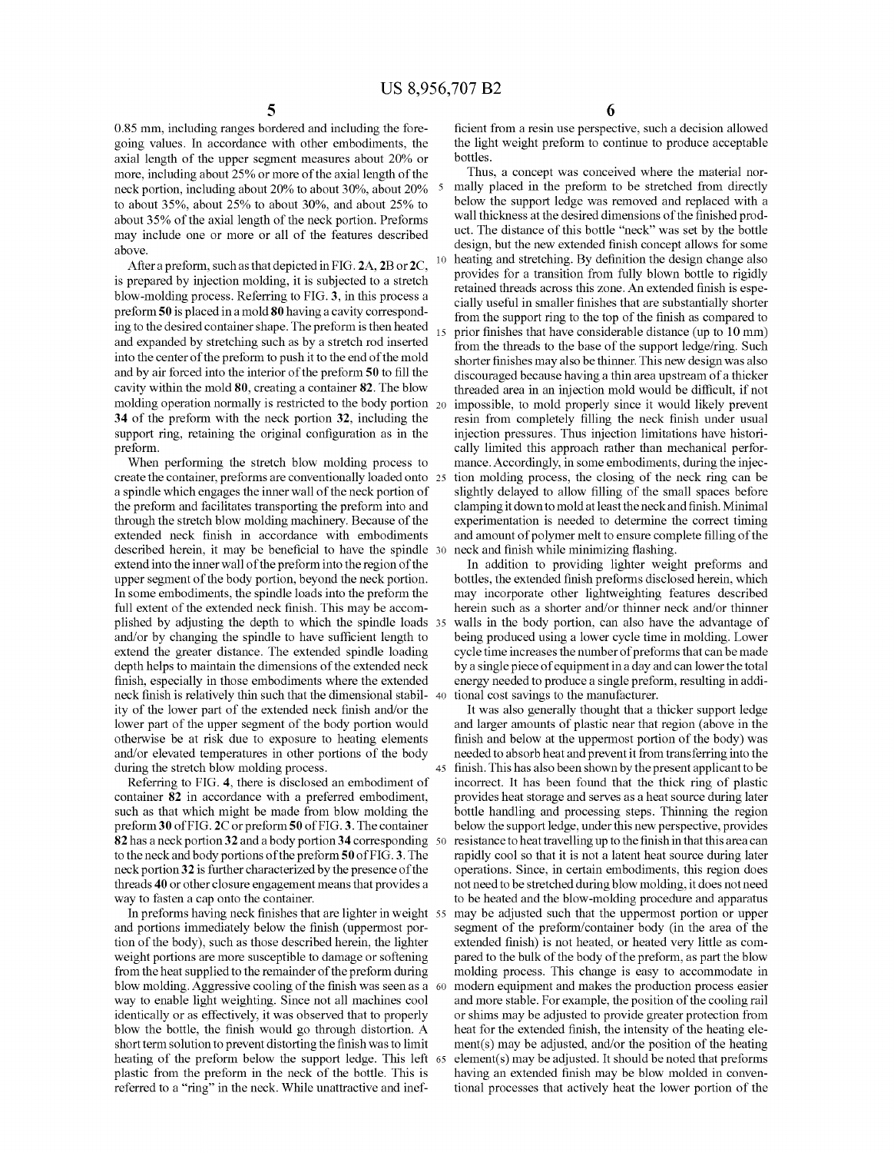45

0.85 mm, including ranges bordered and including the fore going values. In accordance with other embodiments, the axial length of the upper segment measures about 20% or more, including about 25% or more of the axial length of the neck portion, including about 20% to about 30%, about 20% to about 35%, about 25% to about 30%, and about 25% to about 35% of the axial length of the neck portion. Preforms may include one or more or all of the features described above.

After a preform, such as that depicted in FIG. 2A, 2B or 2C, is prepared by injection molding, it is subjected to a stretch blow-molding process. Referring to FIG. 3, in this process a preform 50 is placed in a mold 80 having a cavity correspond ing to the desired container shape. The preform is then heated and expanded by stretching such as by a stretch rod inserted into the center of the preform to push it to the end of the mold and by air forced into the interior of the preform 50 to fill the cavity within the mold 80, creating a container 82. The blow molding operation normally is restricted to the body portion 20 34 of the preform with the neck portion 32, including the support ring, retaining the original configuration as in the preform.

When performing the stretch blow molding process to create the container, preforms are conventionally loaded onto 25 a spindle which engages the inner wall of the neck portion of the preform and facilitates transporting the preform into and through the stretch blow molding machinery. Because of the extended neck finish in accordance with embodiments described herein, it may be beneficial to have the spindle 30 extend into the inner wall of the preform into the region of the upper segment of the body portion, beyond the neck portion. In some embodiments, the spindle loads into the preform the full extent of the extended neck finish. This may be accomplished by adjusting the depth to which the spindle loads 35 and/or by changing the spindle to have sufficient length to extend the greater distance. The extended spindle loading depth helps to maintain the dimensions of the extended neck finish, especially in those embodiments where the extended neck finish is relatively thin such that the dimensional stabil- 40 ity of the lower part of the extended neck finish and/or the lower part of the upper segment of the body portion would otherwise be at risk due to exposure to heating elements and/or elevated temperatures in other portions of the body during the stretch blow molding process.

Referring to FIG. 4, there is disclosed an embodiment of container 82 in accordance with a preferred embodiment, such as that which might be made from blow molding the preform 30 of FIG. 2C or preform 50 of FIG. 3. The container 82 has a neck portion 32 and a body portion 34 corresponding 50 to the neck and body portions of the preform 50 of FIG. 3. The neck portion 32 is further characterized by the presence of the threads 40 or other closure engagement means that provides a way to fasten a cap onto the container.

In preforms having neck finishes that are lighter in weight  $55$ and portions immediately below the finish (uppermost portion of the body), such as those described herein, the lighter weight portions are more susceptible to damage or softening from the heat supplied to the remainder of the preform during blow molding. Aggressive cooling of the finish was seen as a 60 way to enable light weighting. Since not all machines cool identically or as effectively, it was observed that to properly blow the bottle, the finish would go through distortion. A short term solution to prevent distorting the finish was to limit heating of the preform below the support ledge. This left 65 plastic from the preform in the neck of the bottle. This is referred to a "ring" in the neck. While unattractive and inef

6

ficient from a resin use perspective, such a decision allowed the light weight preform to continue to produce acceptable bottles.

Thus, a concept was conceived where the material nor mally placed in the preform to be stretched from directly below the support ledge was removed and replaced with a wall thickness at the desired dimensions of the finished product. The distance of this bottle "neck" was set by the bottle design, but the new extended finish concept allows for some heating and stretching. By definition the design change also provides for a transition from fully blown bottle to rigidly retained threads across this zone. An extended finish is especially useful in smaller finishes that are substantially shorter from the support ring to the top of the finish as compared to prior finishes that have considerable distance (up to  $10 \text{ mm}$ ) from the threads to the base of the support ledge/ring. Such shorter finishes may also be thinner. This new design was also discouraged because having a thin area upstream of a thicker threaded area in an injection mold would be difficult, if not impossible, to mold properly since it would likely prevent resin from completely filling the neck finish under usual injection pressures. Thus injection limitations have histori cally limited this approach rather than mechanical perfor mance. Accordingly, in some embodiments, during the injection molding process, the closing of the neck ring can be slightly delayed to allow filling of the small spaces before clamping it down to mold at least the neck and finish. Minimal experimentation is needed to determine the correct timing and amount of polymer melt to ensure complete filling of the neck and finish while minimizing flashing.

In addition to providing lighter weight preforms and bottles, the extended finish preforms disclosed herein, which may incorporate other lightweighting features described herein such as a shorter and/or thinner neck and/or thinner walls in the body portion, can also have the advantage of being produced using a lower cycle time in molding. Lower cycle time increases the number of preforms that can be made by a single piece of equipment in a day and can lower the total energy needed to produce a single preform, resulting in addi tional cost savings to the manufacturer.

It was also generally thought that a thicker support ledge and larger amounts of plastic near that region (above in the finish and below at the uppermost portion of the body) was needed to absorb heat and prevent it from transferring into the finish. This has also been shown by the present applicant to be incorrect. It has been found that the thick ring of plastic provides heat storage and serves as a heat source during later bottle handling and processing steps. Thinning the region below the support ledge, under this new perspective, provides resistance to heat travelling up to the finish in that this area can rapidly cool so that it is not a latent heat source during later operations. Since, in certain embodiments, this region does not need to be stretched during blow molding, it does not need to be heated and the blow-molding procedure and apparatus may be adjusted such that the uppermost portion or upper segment of the preform/container body (in the area of the extended finish) is not heated, or heated very little as compared to the bulk of the body of the preform, as part the blow molding process. This change is easy to accommodate in modern equipment and makes the production process easier and more stable. For example, the position of the cooling rail or shims may be adjusted to provide greater protection from heat for the extended finish, the intensity of the heating element(s) may be adjusted, and/or the position of the heating element(s) may be adjusted. It should be noted that preforms having an extended finish may be blow molded in conventional processes that actively heat the lower portion of the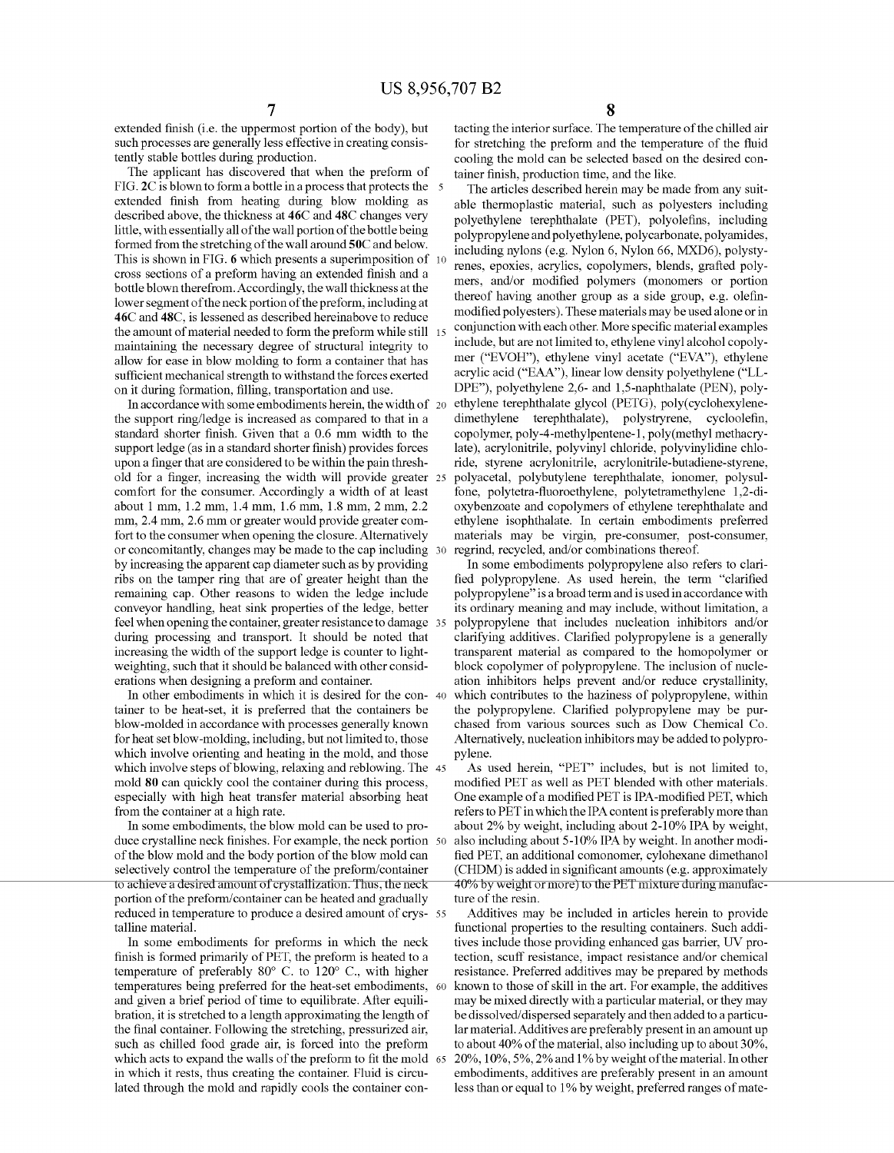extended finish (i.e. the uppermost portion of the body), but such processes are generally less effective in creating consis tently stable bottles during production.

The applicant has discovered that when the preform of FIG. 2C is blown to form a bottle in a process that protects the 5 extended finish from heating during blow molding as described above, the thickness at 46C and 48C changes very little, with essentially all of the wall portion of the bottle being formed from the stretching of the wall around 50C and below. This is shown in FIG. 6 which presents a superimposition of 10 cross sections of a preform having an extended finish and a bottle blown therefrom. Accordingly, the wall thickness at the lower segment of the neck portion of the preform, including at 46C and 48C, is lessened as described hereinabove to reduce the amount of material needed to form the preform while still maintaining the necessary degree of structural integrity to allow for ease in blow molding to form a container that has sufficient mechanical strength to withstand the forces exerted on it during formation, filling, transportation and use.

In accordance with some embodiments herein, the width of 20 the support ring/ledge is increased as compared to that in a standard shorter finish. Given that a 0.6 mm width to the support ledge (as in a standard shorter finish) provides forces upon a finger that are considered to be within the pain threshold for a finger, increasing the width will provide greater  $25$ comfort for the consumer. Accordingly a width of at least about 1 mm, 1.2 mm, 1.4 mm, 1.6 mm, 1.8 mm, 2 mm, 2.2 mm, 2.4 mm, 2.6 mm or greater would provide greater com fort to the consumer when opening the closure. Alternatively or concomitantly, changes may be made to the cap including 30 by increasing the apparent cap diameter such as by providing ribs on the tamper ring that are of greater height than the remaining cap. Other reasons to widen the ledge include conveyor handling, heat sink properties of the ledge, better feel when opening the container, greater resistance to damage 35 during processing and transport. It should be noted that increasing the width of the support ledge is counter to light weighting, such that it should be balanced with other consid erations when designing a preform and container.

In other embodiments in which it is desired for the con- 40 tainer to be heat-set, it is preferred that the containers be blow-molded in accordance with processes generally known for heat set blow-molding, including, but not limited to, those which involve orienting and heating in the mold, and those which involve steps of blowing, relaxing and reblowing. The 45 mold 80 can quickly cool the container during this process, especially with high heat transfer material absorbing heat from the container at a high rate.

In some embodiments, the blow mold can be used to pro duce crystalline neck finishes. For example, the neck portion 50 of the blow mold and the body portion of the blow mold can selectively control the temperature of the preform/container to achieve a desired amount of crystallization. Thus, the neck portion of the preform/container can be heated and gradually reduced in temperature to produce a desired amount of crys- 55 talline material.

In some embodiments for preforms in which the neck finish is formed primarily of PET, the preform is heated to a temperature of preferably  $80^{\circ}$  C. to  $120^{\circ}$  C., with higher temperatures being preferred for the heat-set embodiments, 60 and given a brief period of time to equilibrate. After equili bration, it is stretched to a length approximating the length of the final container. Following the stretching, pressurized air, such as chilled food grade air, is forced into the preform which acts to expand the walls of the preform to fit the mold  $\,$  65 in which it rests, thus creating the container. Fluid is circu lated through the mold and rapidly cools the container con

tacting the interior surface. The temperature of the chilled air for stretching the preform and the temperature of the fluid cooling the mold can be selected based on the desired con tainer finish, production time, and the like.

The articles described herein may be made from any suit able thermoplastic material, such as polyesters including polyethylene terephthalate (PET), polyolefins, including polypropylene andpolyethylene, polycarbonate, polyamides, including nylons (e.g. Nylon 6, Nylon 66, MXD6), polysty renes, epoxies, acrylics, copolymers, blends, grafted poly mers, and/or modified polymers (monomers or portion thereof having another group as a side group, e.g. olefinmodified polyesters). These materials may be used alone or in conjunction with each other. More specific material examples include, but are not limited to, ethylene vinyl alcohol copoly mer ("EVOH"), ethylene vinyl acetate ("EVA"), ethylene acrylic acid ("EAA"), linear low density polyethylene ("LL DPE"), polyethylene 2,6- and 1,5-naphthalate (PEN), poly ethylene terephthalate glycol (PETG), poly(cyclohexylene dimethylene terephthalate), polystryrene, cycloolefin, copolymer, poly-4-methylpentene-1, poly(methyl methacry late), acrylonitrile, polyvinyl chloride, polyvinylidine chlo ride, styrene acrylonitrile, acrylonitrile-butadiene-styrene, polyacetal, polybutylene terephthalate, ionomer, polysul fone, polytetra-fluoroethylene, polytetramethylene 1,2-dioxybenzoate and copolymers of ethylene terephthalate and ethylene isophthalate. In certain embodiments preferred materials may be virgin, pre-consumer, post-consumer, regrind, recycled, and/or combinations thereof.

In some embodiments polypropylene also refers to clari fied polypropylene. As used herein, the term "clarified polypropylene" is a broad term and is used in accordance with polypropylene that includes nucleation inhibitors and/or clarifying additives. Clarified polypropylene is a generally transparent material as compared to the homopolymer or block copolymer of polypropylene. The inclusion of nucle ation inhibitors helps prevent and/or reduce crystallinity, which contributes to the haziness of polypropylene, within the polypropylene. Clarified polypropylene may be purchased from various sources such as Dow Chemical Co. Alternatively, nucleation inhibitors may be added to polypro pylene.

As used herein, "PET" includes, but is not limited to, modified PET as well as PET blended with other materials. One example of a modified PET is IPA-modified PET, which refers to PET in which the IPA content is preferably more than about 2% by weight, including about 2-10% IPA by weight, also including about 5-10% IPA by weight. In another modi fied PET, an additional comonomer, cylohexane dimethanol (CHDM) is added in significant amounts (e.g. approximately 40% by weight or more) to the PET mixture during manufacture of the resin.

Additives may be included in articles herein to provide functional properties to the resulting containers. Such addi tives include those providing enhanced gas barrier, UV pro tection, scuff resistance, impact resistance and/or chemical resistance. Preferred additives may be prepared by methods known to those of skill in the art. For example, the additives may be mixed directly with a particular material, or they may be dissolved/ dispersed separately and then added to a particu lar material. Additives are preferably present in an amount up to about 40% of the material, also including up to about 30%, 20%, 10%, 5%, 2% and 1% by weight ofthe material. In other embodiments, additives are preferably present in an amount less than or equal to 1% by weight, preferred ranges of mate